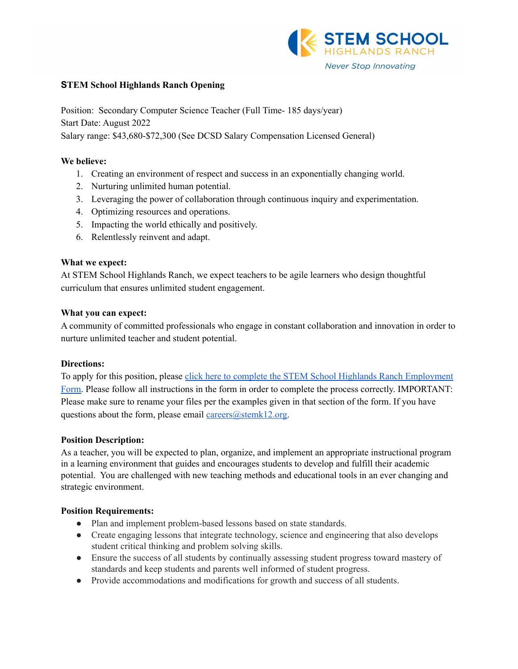

## **STEM School Highlands Ranch Opening**

Position: Secondary Computer Science Teacher (Full Time- 185 days/year) Start Date: August 2022

Salary range: \$43,680-\$72,300 (See DCSD Salary Compensation Licensed General)

## **We believe:**

- 1. Creating an environment of respect and success in an exponentially changing world.
- 2. Nurturing unlimited human potential.
- 3. Leveraging the power of collaboration through continuous inquiry and experimentation.
- 4. Optimizing resources and operations.
- 5. Impacting the world ethically and positively.
- 6. Relentlessly reinvent and adapt.

## **What we expect:**

At STEM School Highlands Ranch, we expect teachers to be agile learners who design thoughtful curriculum that ensures unlimited student engagement.

### **What you can expect:**

A community of committed professionals who engage in constant collaboration and innovation in order to nurture unlimited teacher and student potential.

#### **Directions:**

To apply for this position, please click here to complete the STEM School Highlands Ranch [Employment](https://docs.google.com/forms/d/e/1FAIpQLSfix8N5Y4r8UN-EoNntuUI_3ZGfalCIW_KiKAja-s9jkUit8g/viewform?usp=sf_link) [Form.](https://docs.google.com/forms/d/e/1FAIpQLSfix8N5Y4r8UN-EoNntuUI_3ZGfalCIW_KiKAja-s9jkUit8g/viewform?usp=sf_link) Please follow all instructions in the form in order to complete the process correctly. IMPORTANT: Please make sure to rename your files per the examples given in that section of the form. If you have questions about the form, please email [careers@stemk12.org.](mailto:careers@stemk12.org)

#### **Position Description:**

As a teacher, you will be expected to plan, organize, and implement an appropriate instructional program in a learning environment that guides and encourages students to develop and fulfill their academic potential. You are challenged with new teaching methods and educational tools in an ever changing and strategic environment.

#### **Position Requirements:**

- Plan and implement problem-based lessons based on state standards.
- Create engaging lessons that integrate technology, science and engineering that also develops student critical thinking and problem solving skills.
- Ensure the success of all students by continually assessing student progress toward mastery of standards and keep students and parents well informed of student progress.
- Provide accommodations and modifications for growth and success of all students.